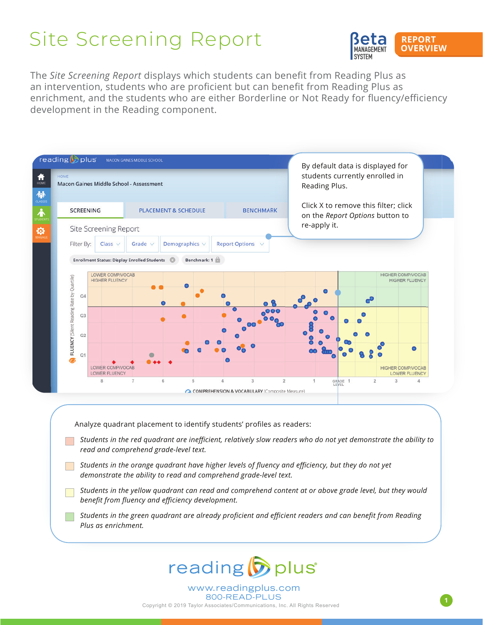## Site Screening Report



The *Site Screening Report* displays which students can benefit from Reading Plus as an intervention, students who are proficient but can benefit from Reading Plus as enrichment, and the students who are either Borderline or Not Ready for fluency/efficiency development in the Reading component.



*Students in the green quadrant are already proficient and efficient readers and can benefit from Reading Plus as enrichment.*

## reading b plus<sup>®</sup>

www.readingplus.com 800-READ-PLUS Copyright © 2019 Taylor Associates/Communications, Inc. All Rights Reserved